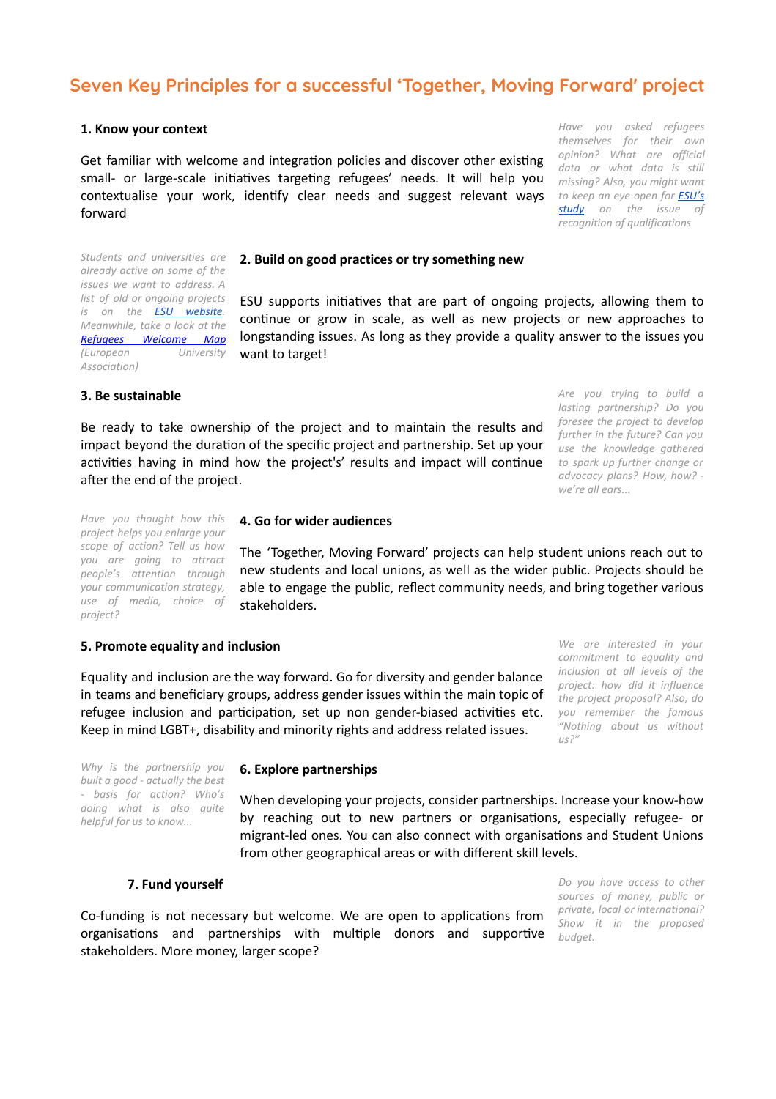## Seven Key Principles for a successful 'Together, Moving Forward' project

2. Build on good practices or try something new

Get familiar with welcome and integration policies and discover other existing small- or large-scale initiatives targeting refugees' needs. It will help you contextualise your work, identify clear needs and suggest relevant ways forward

**1. Know your context 1. Know your context** themselves for their own opinion? What are official data or what data is still missing? Also, you might want to keep an eye open for **[ESU's](https://www.esu-online.org/wp-content/uploads/2017/05/ESU-Are-Refugees-Welcome_-WEBSITE-1.compressed-1.pdf)** [study](https://www.esu-online.org/wp-content/uploads/2017/05/ESU-Are-Refugees-Welcome_-WEBSITE-1.compressed-1.pdf) on the issue of recognition of qualifications

Students and universities are already active on some of the issues we want to address. A list of old or ongoing projects is on the **ESU website**. Meanwhile, take a look at the Refugees [Welcome](http://eua.be/activities-services/eua-campaigns/refugees-welcome-map) Map (European University Association)

Be ready to take ownership of the project and to maintain the results and impact beyond the duration of the specific project and partnership. Set up your activities having in mind how the project's' results and impact will continue after the end of the project.

want to target!

**3. Be sustainable 3. Be sustainable 3. Be sustainable 3. Be sustainable 3. Be sustainable 3. Be sustainable 3. Be sustainable 3. Be sustainable 3. Be sustainable 3. Be sustainable 3. Be sustainable 3** lasting partnership? Do you foresee the project to develop further in the future? Can you use the knowledge gathered to spark up further change or advocacy plans? How, how? we're all ears...

Have you thought how this project helps you enlarge your scope of action? Tell us how you are going to attract people's attention through your communication strategy, use of media, choice of project?

### 4. Go for wider audiences

The 'Together, Moving Forward' projects can help student unions reach out to new students and local unions, as well as the wider public. Projects should be able to engage the public, reflect community needs, and bring together various stakeholders.

ESU supports initiatives that are part of ongoing projects, allowing them to continue or grow in scale, as well as new projects or new approaches to longstanding issues. As long as they provide a quality answer to the issues you

### **5. Promote equality and inclusion** We are interested in your

Equality and inclusion are the way forward. Go for diversity and gender balance in teams and beneficiary groups, address gender issues within the main topic of refugee inclusion and participation, set up non gender-biased activities etc. Keep in mind LGBT+, disability and minority rights and address related issues.

commitment to equality and inclusion at all levels of the project: how did it influence the project proposal? Also, do you remember the famous "Nothing about us without us?"

Why is the partnership you built a good - actually the best - basis for action? Who's doing what is also quite helpful for us to know...

### 6. Explore partnerships

When developing your projects, consider partnerships. Increase your know-how by reaching out to new partners or organisations, especially refugee- or migrant-led ones. You can also connect with organisations and Student Unions from other geographical areas or with different skill levels.

Co-funding is not necessary but welcome. We are open to applications from organisations and partnerships with multiple donors and supportive stakeholders. More money, larger scope?

**7. Fund yourself CONTERNATE:** Do you have access to other sources of money, public or private, local or international? Show it in the proposed budget.